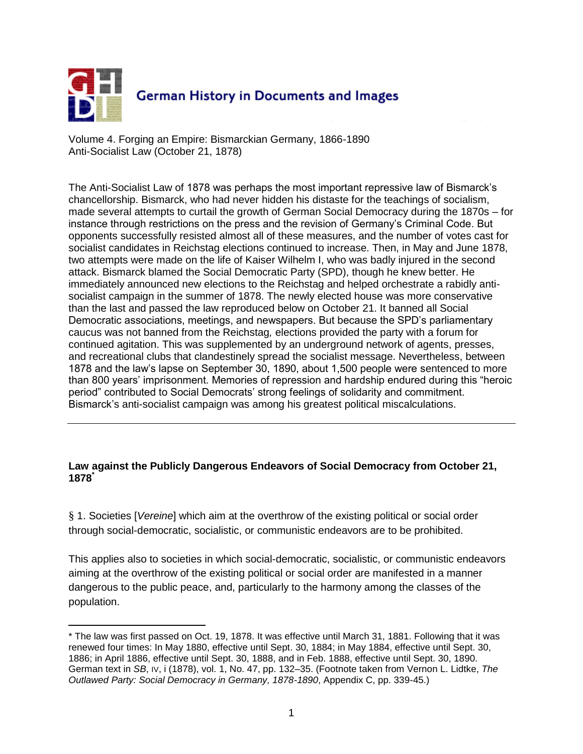

Volume 4. Forging an Empire: Bismarckian Germany, 1866-1890 Anti-Socialist Law (October 21, 1878)

The Anti-Socialist Law of 1878 was perhaps the most important repressive law of Bismarck's chancellorship. Bismarck, who had never hidden his distaste for the teachings of socialism, made several attempts to curtail the growth of German Social Democracy during the 1870s – for instance through restrictions on the press and the revision of Germany's Criminal Code. But opponents successfully resisted almost all of these measures, and the number of votes cast for socialist candidates in Reichstag elections continued to increase. Then, in May and June 1878, two attempts were made on the life of Kaiser Wilhelm I, who was badly injured in the second attack. Bismarck blamed the Social Democratic Party (SPD), though he knew better. He immediately announced new elections to the Reichstag and helped orchestrate a rabidly antisocialist campaign in the summer of 1878. The newly elected house was more conservative than the last and passed the law reproduced below on October 21. It banned all Social Democratic associations, meetings, and newspapers. But because the SPD's parliamentary caucus was not banned from the Reichstag*,* elections provided the party with a forum for continued agitation. This was supplemented by an underground network of agents, presses, and recreational clubs that clandestinely spread the socialist message. Nevertheless, between 1878 and the law's lapse on September 30, 1890, about 1,500 people were sentenced to more than 800 years' imprisonment. Memories of repression and hardship endured during this "heroic period" contributed to Social Democrats' strong feelings of solidarity and commitment. Bismarck's anti-socialist campaign was among his greatest political miscalculations.

## **Law against the Publicly Dangerous Endeavors of Social Democracy from October 21, 1878\***

§ 1. Societies [*Vereine*] which aim at the overthrow of the existing political or social order through social-democratic, socialistic, or communistic endeavors are to be prohibited.

This applies also to societies in which social-democratic, socialistic, or communistic endeavors aiming at the overthrow of the existing political or social order are manifested in a manner dangerous to the public peace, and, particularly to the harmony among the classes of the population.

 $\overline{a}$ 

<sup>\*</sup> The law was first passed on Oct. 19, 1878. It was effective until March 31, 1881. Following that it was renewed four times: In May 1880, effective until Sept. 30, 1884; in May 1884, effective until Sept. 30, 1886; in April 1886, effective until Sept. 30, 1888, and in Feb. 1888, effective until Sept. 30, 1890. German text in *SB*, IV, i (1878), vol. 1, No. 47, pp. 132–35. (Footnote taken from Vernon L. Lidtke, *The Outlawed Party: Social Democracy in Germany, 1878-1890*, Appendix C, pp. 339-45.)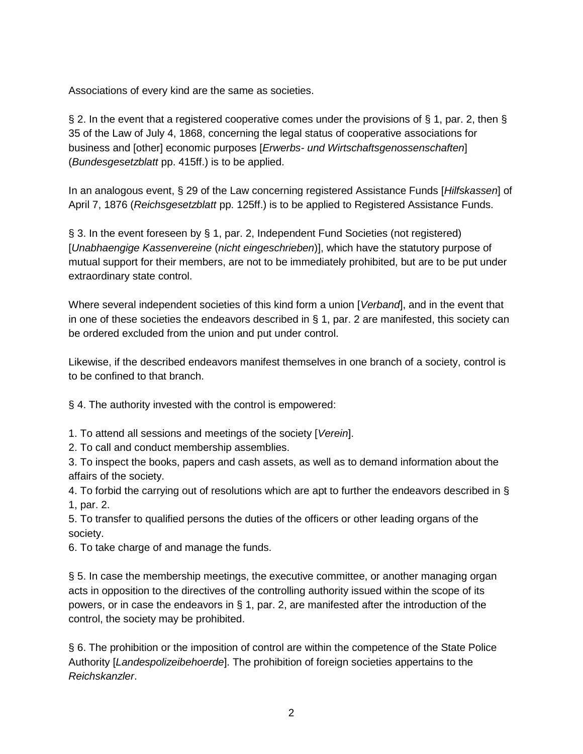Associations of every kind are the same as societies.

§ 2. In the event that a registered cooperative comes under the provisions of § 1, par. 2, then § 35 of the Law of July 4, 1868, concerning the legal status of cooperative associations for business and [other] economic purposes [*Erwerbs- und Wirtschaftsgenossenschaften*] (*Bundesgesetzblatt* pp. 415ff.) is to be applied.

In an analogous event, § 29 of the Law concerning registered Assistance Funds [*Hilfskassen*] of April 7, 1876 (*Reichsgesetzblatt* pp. 125ff.) is to be applied to Registered Assistance Funds.

§ 3. In the event foreseen by § 1, par. 2, Independent Fund Societies (not registered) [*Unabhaengige Kassenvereine* (*nicht eingeschrieben*)], which have the statutory purpose of mutual support for their members, are not to be immediately prohibited, but are to be put under extraordinary state control.

Where several independent societies of this kind form a union [*Verband*], and in the event that in one of these societies the endeavors described in § 1, par. 2 are manifested, this society can be ordered excluded from the union and put under control.

Likewise, if the described endeavors manifest themselves in one branch of a society, control is to be confined to that branch.

§ 4. The authority invested with the control is empowered:

1. To attend all sessions and meetings of the society [*Verein*].

2. To call and conduct membership assemblies.

3. To inspect the books, papers and cash assets, as well as to demand information about the affairs of the society.

4. To forbid the carrying out of resolutions which are apt to further the endeavors described in § 1, par. 2.

5. To transfer to qualified persons the duties of the officers or other leading organs of the society.

6. To take charge of and manage the funds.

§ 5. In case the membership meetings, the executive committee, or another managing organ acts in opposition to the directives of the controlling authority issued within the scope of its powers, or in case the endeavors in § 1, par. 2, are manifested after the introduction of the control, the society may be prohibited.

§ 6. The prohibition or the imposition of control are within the competence of the State Police Authority [*Landespolizeibehoerde*]. The prohibition of foreign societies appertains to the *Reichskanzler*.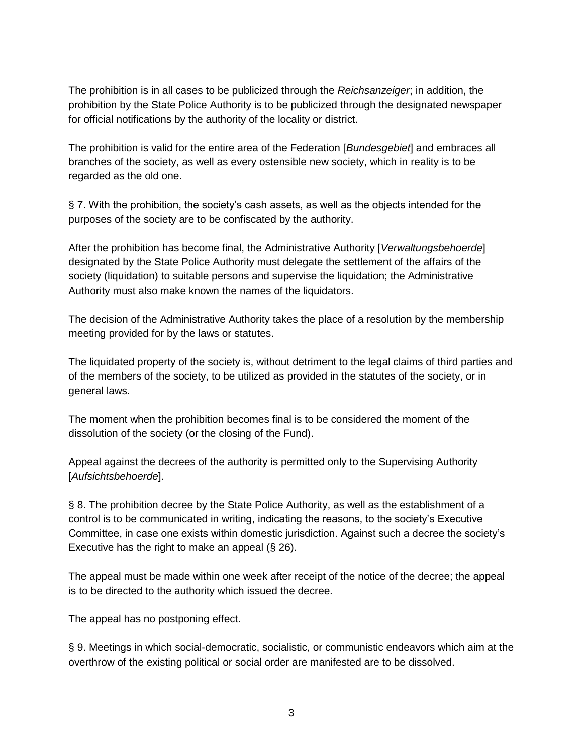The prohibition is in all cases to be publicized through the *Reichsanzeiger*; in addition, the prohibition by the State Police Authority is to be publicized through the designated newspaper for official notifications by the authority of the locality or district.

The prohibition is valid for the entire area of the Federation [*Bundesgebiet*] and embraces all branches of the society, as well as every ostensible new society, which in reality is to be regarded as the old one.

§ 7. With the prohibition, the society's cash assets, as well as the objects intended for the purposes of the society are to be confiscated by the authority.

After the prohibition has become final, the Administrative Authority [*Verwaltungsbehoerde*] designated by the State Police Authority must delegate the settlement of the affairs of the society (liquidation) to suitable persons and supervise the liquidation; the Administrative Authority must also make known the names of the liquidators.

The decision of the Administrative Authority takes the place of a resolution by the membership meeting provided for by the laws or statutes.

The liquidated property of the society is, without detriment to the legal claims of third parties and of the members of the society, to be utilized as provided in the statutes of the society, or in general laws.

The moment when the prohibition becomes final is to be considered the moment of the dissolution of the society (or the closing of the Fund).

Appeal against the decrees of the authority is permitted only to the Supervising Authority [*Aufsichtsbehoerde*].

§ 8. The prohibition decree by the State Police Authority, as well as the establishment of a control is to be communicated in writing, indicating the reasons, to the society's Executive Committee, in case one exists within domestic jurisdiction. Against such a decree the society's Executive has the right to make an appeal (§ 26).

The appeal must be made within one week after receipt of the notice of the decree; the appeal is to be directed to the authority which issued the decree.

The appeal has no postponing effect.

§ 9. Meetings in which social-democratic, socialistic, or communistic endeavors which aim at the overthrow of the existing political or social order are manifested are to be dissolved.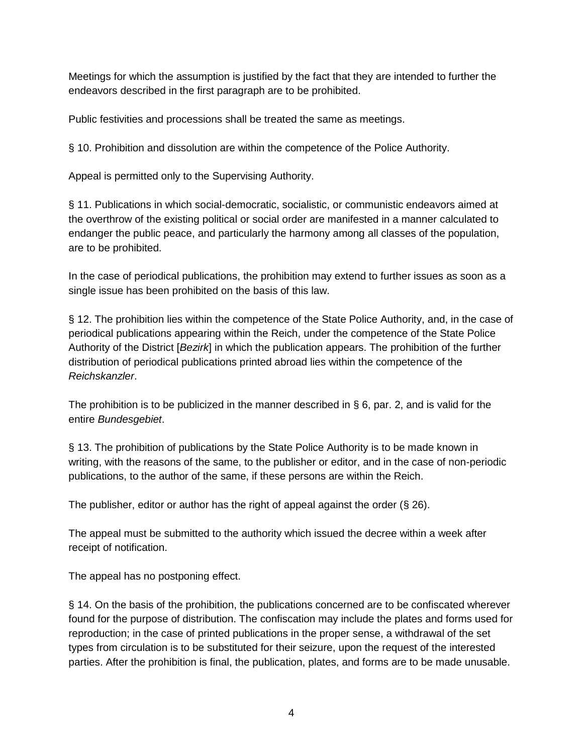Meetings for which the assumption is justified by the fact that they are intended to further the endeavors described in the first paragraph are to be prohibited.

Public festivities and processions shall be treated the same as meetings.

§ 10. Prohibition and dissolution are within the competence of the Police Authority.

Appeal is permitted only to the Supervising Authority.

§ 11. Publications in which social-democratic, socialistic, or communistic endeavors aimed at the overthrow of the existing political or social order are manifested in a manner calculated to endanger the public peace, and particularly the harmony among all classes of the population, are to be prohibited.

In the case of periodical publications, the prohibition may extend to further issues as soon as a single issue has been prohibited on the basis of this law.

§ 12. The prohibition lies within the competence of the State Police Authority, and, in the case of periodical publications appearing within the Reich, under the competence of the State Police Authority of the District [*Bezirk*] in which the publication appears. The prohibition of the further distribution of periodical publications printed abroad lies within the competence of the *Reichskanzler*.

The prohibition is to be publicized in the manner described in § 6, par. 2, and is valid for the entire *Bundesgebiet*.

§ 13. The prohibition of publications by the State Police Authority is to be made known in writing, with the reasons of the same, to the publisher or editor, and in the case of non-periodic publications, to the author of the same, if these persons are within the Reich.

The publisher, editor or author has the right of appeal against the order (§ 26).

The appeal must be submitted to the authority which issued the decree within a week after receipt of notification.

The appeal has no postponing effect.

§ 14. On the basis of the prohibition, the publications concerned are to be confiscated wherever found for the purpose of distribution. The confiscation may include the plates and forms used for reproduction; in the case of printed publications in the proper sense, a withdrawal of the set types from circulation is to be substituted for their seizure, upon the request of the interested parties. After the prohibition is final, the publication, plates, and forms are to be made unusable.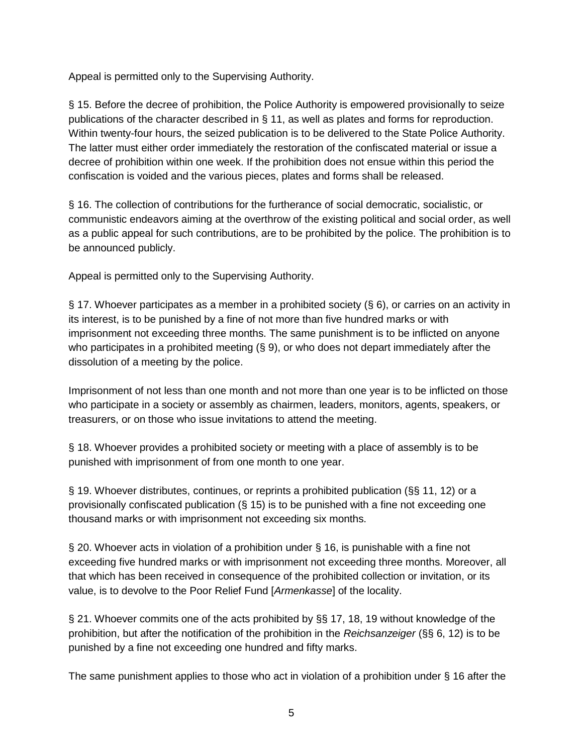Appeal is permitted only to the Supervising Authority.

§ 15. Before the decree of prohibition, the Police Authority is empowered provisionally to seize publications of the character described in § 11, as well as plates and forms for reproduction. Within twenty-four hours, the seized publication is to be delivered to the State Police Authority. The latter must either order immediately the restoration of the confiscated material or issue a decree of prohibition within one week. If the prohibition does not ensue within this period the confiscation is voided and the various pieces, plates and forms shall be released.

§ 16. The collection of contributions for the furtherance of social democratic, socialistic, or communistic endeavors aiming at the overthrow of the existing political and social order, as well as a public appeal for such contributions, are to be prohibited by the police. The prohibition is to be announced publicly.

Appeal is permitted only to the Supervising Authority.

§ 17. Whoever participates as a member in a prohibited society (§ 6), or carries on an activity in its interest, is to be punished by a fine of not more than five hundred marks or with imprisonment not exceeding three months. The same punishment is to be inflicted on anyone who participates in a prohibited meeting (§ 9), or who does not depart immediately after the dissolution of a meeting by the police.

Imprisonment of not less than one month and not more than one year is to be inflicted on those who participate in a society or assembly as chairmen, leaders, monitors, agents, speakers, or treasurers, or on those who issue invitations to attend the meeting.

§ 18. Whoever provides a prohibited society or meeting with a place of assembly is to be punished with imprisonment of from one month to one year.

§ 19. Whoever distributes, continues, or reprints a prohibited publication (§§ 11, 12) or a provisionally confiscated publication (§ 15) is to be punished with a fine not exceeding one thousand marks or with imprisonment not exceeding six months.

§ 20. Whoever acts in violation of a prohibition under § 16, is punishable with a fine not exceeding five hundred marks or with imprisonment not exceeding three months. Moreover, all that which has been received in consequence of the prohibited collection or invitation, or its value, is to devolve to the Poor Relief Fund [*Armenkasse*] of the locality.

§ 21. Whoever commits one of the acts prohibited by §§ 17, 18, 19 without knowledge of the prohibition, but after the notification of the prohibition in the *Reichsanzeiger* (§§ 6, 12) is to be punished by a fine not exceeding one hundred and fifty marks.

The same punishment applies to those who act in violation of a prohibition under § 16 after the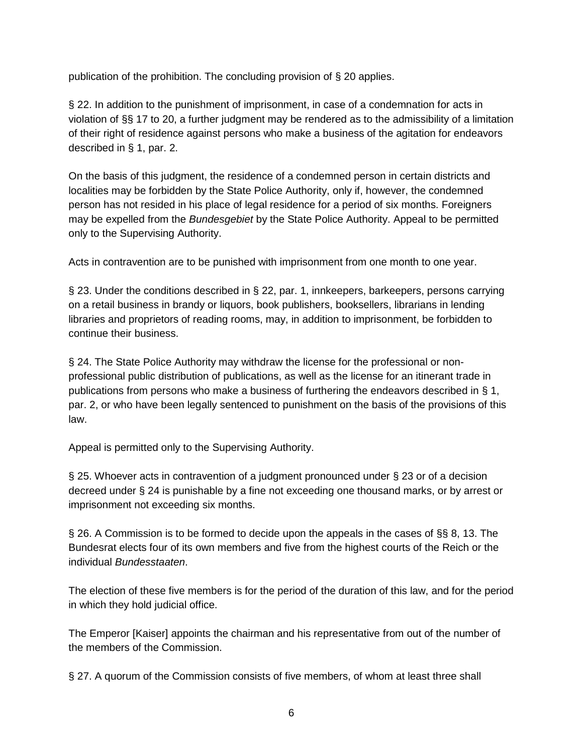publication of the prohibition. The concluding provision of § 20 applies.

§ 22. In addition to the punishment of imprisonment, in case of a condemnation for acts in violation of §§ 17 to 20, a further judgment may be rendered as to the admissibility of a limitation of their right of residence against persons who make a business of the agitation for endeavors described in § 1, par. 2.

On the basis of this judgment, the residence of a condemned person in certain districts and localities may be forbidden by the State Police Authority, only if, however, the condemned person has not resided in his place of legal residence for a period of six months. Foreigners may be expelled from the *Bundesgebiet* by the State Police Authority. Appeal to be permitted only to the Supervising Authority.

Acts in contravention are to be punished with imprisonment from one month to one year.

§ 23. Under the conditions described in § 22, par. 1, innkeepers, barkeepers, persons carrying on a retail business in brandy or liquors, book publishers, booksellers, librarians in lending libraries and proprietors of reading rooms, may, in addition to imprisonment, be forbidden to continue their business.

§ 24. The State Police Authority may withdraw the license for the professional or nonprofessional public distribution of publications, as well as the license for an itinerant trade in publications from persons who make a business of furthering the endeavors described in § 1, par. 2, or who have been legally sentenced to punishment on the basis of the provisions of this law.

Appeal is permitted only to the Supervising Authority.

§ 25. Whoever acts in contravention of a judgment pronounced under § 23 or of a decision decreed under § 24 is punishable by a fine not exceeding one thousand marks, or by arrest or imprisonment not exceeding six months.

§ 26. A Commission is to be formed to decide upon the appeals in the cases of §§ 8, 13. The Bundesrat elects four of its own members and five from the highest courts of the Reich or the individual *Bundesstaaten*.

The election of these five members is for the period of the duration of this law, and for the period in which they hold judicial office.

The Emperor [Kaiser] appoints the chairman and his representative from out of the number of the members of the Commission.

§ 27. A quorum of the Commission consists of five members, of whom at least three shall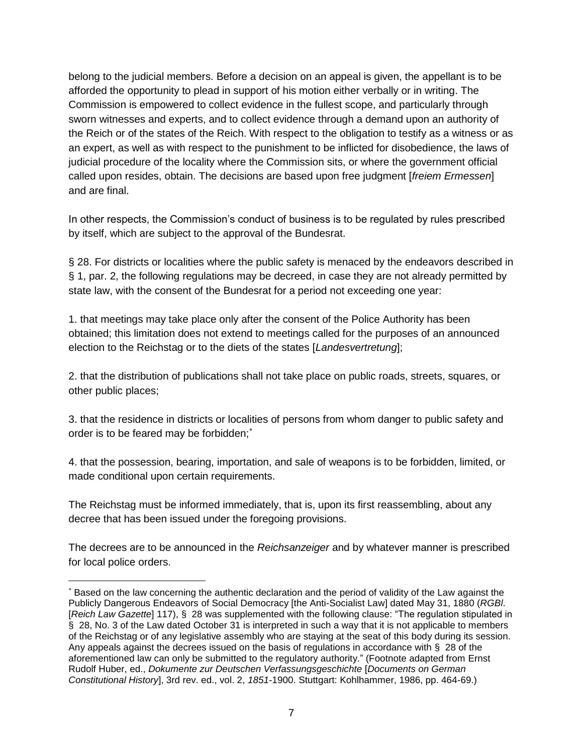belong to the judicial members. Before a decision on an appeal is given, the appellant is to be afforded the opportunity to plead in support of his motion either verbally or in writing. The Commission is empowered to collect evidence in the fullest scope, and particularly through sworn witnesses and experts, and to collect evidence through a demand upon an authority of the Reich or of the states of the Reich. With respect to the obligation to testify as a witness or as an expert, as well as with respect to the punishment to be inflicted for disobedience, the laws of judicial procedure of the locality where the Commission sits, or where the government official called upon resides, obtain. The decisions are based upon free judgment [*freiem Ermessen*] and are final.

In other respects, the Commission's conduct of business is to be regulated by rules prescribed by itself, which are subject to the approval of the Bundesrat.

§ 28. For districts or localities where the public safety is menaced by the endeavors described in § 1, par. 2, the following regulations may be decreed, in case they are not already permitted by state law, with the consent of the Bundesrat for a period not exceeding one year:

1. that meetings may take place only after the consent of the Police Authority has been obtained; this limitation does not extend to meetings called for the purposes of an announced election to the Reichstag or to the diets of the states [*Landesvertretung*];

2. that the distribution of publications shall not take place on public roads, streets, squares, or other public places;

3. that the residence in districts or localities of persons from whom danger to public safety and order is to be feared may be forbidden;

4. that the possession, bearing, importation, and sale of weapons is to be forbidden, limited, or made conditional upon certain requirements.

The Reichstag must be informed immediately, that is, upon its first reassembling, about any decree that has been issued under the foregoing provisions.

 $\overline{a}$ 

The decrees are to be announced in the *Reichsanzeiger* and by whatever manner is prescribed for local police orders.

<sup>\*</sup> Based on the law concerning the authentic declaration and the period of validity of the Law against the Publicly Dangerous Endeavors of Social Democracy [the Anti-Socialist Law] dated May 31, 1880 (*RGBl*. [*Reich Law Gazette*] 117), § 28 was supplemented with the following clause: "The regulation stipulated in § 28, No. 3 of the Law dated October 31 is interpreted in such a way that it is not applicable to members of the Reichstag or of any legislative assembly who are staying at the seat of this body during its session. Any appeals against the decrees issued on the basis of regulations in accordance with § 28 of the aforementioned law can only be submitted to the regulatory authority." (Footnote adapted from Ernst Rudolf Huber, ed., *Dokumente zur Deutschen Verfassungsgeschichte* [*Documents on German Constitutional History*], 3rd rev. ed., vol. 2, *1851-*1900. Stuttgart: Kohlhammer, 1986, pp. 464-69.)